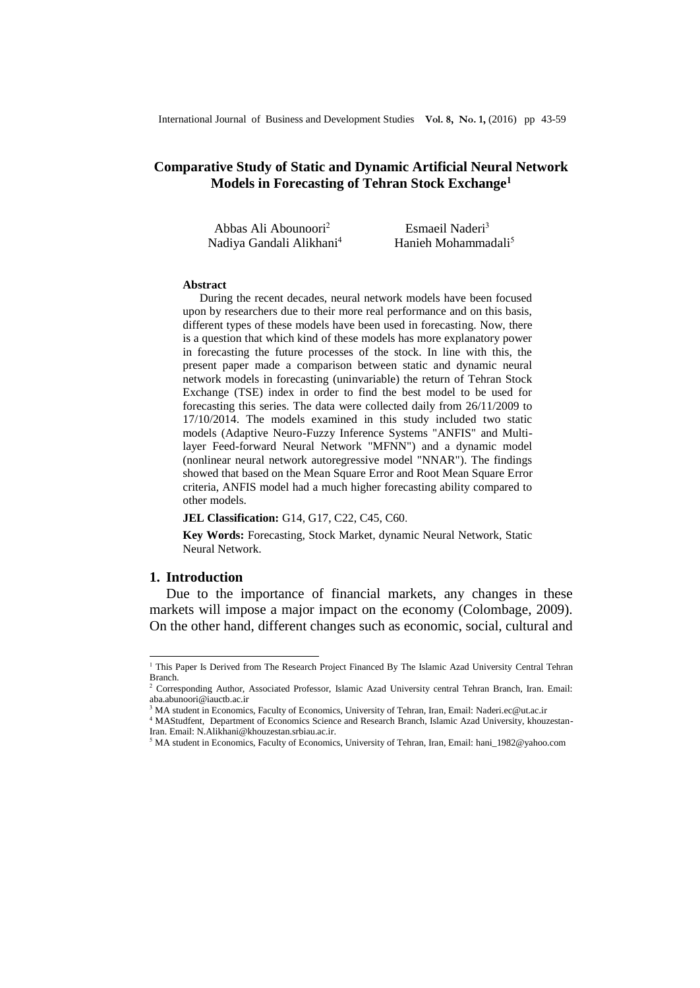# **[Comparative Study o](http://maxwellsci.com/print/rjaset/v4-4397-4403.pdf)f Static and Dynamic Artificial Neural Network Models in Forecasting of Tehran Stock Exchange<sup>1</sup>**

| Abbas Ali Abounoori <sup>2</sup>     | Esmaeil Naderi <sup>3</sup>     |
|--------------------------------------|---------------------------------|
| Nadiya Gandali Alikhani <sup>4</sup> | Hanieh Mohammadali <sup>5</sup> |

#### **Abstract**

During the recent decades, neural network models have been focused upon by researchers due to their more real performance and on this basis, different types of these models have been used in forecasting. Now, there is a question that which kind of these models has more explanatory power in forecasting the future processes of the stock. In line with this, the present paper made a comparison between static and dynamic neural network models in forecasting (uninvariable) the return of Tehran Stock Exchange (TSE) index in order to find the best model to be used for forecasting this series. The data were collected daily from 26/11/2009 to 17/10/2014. The models examined in this study included two static models (Adaptive Neuro-Fuzzy Inference Systems "ANFIS" and Multilayer Feed-forward Neural Network "MFNN") and a dynamic model (nonlinear neural network autoregressive model "NNAR"). The findings showed that based on the Mean Square Error and Root Mean Square Error criteria, ANFIS model had a much higher forecasting ability compared to other models.

#### **JEL Classification:** G14, G17, C22, C45, C60.

**Key Words:** Forecasting, Stock Market, dynamic Neural Network, Static Neural Network.

### **1. Introduction**

 $\overline{a}$ 

Due to the importance of financial markets, any changes in these markets will impose a major impact on the economy (Colombage, 2009). On the other hand, different changes such as economic, social, cultural and

<sup>&</sup>lt;sup>1</sup> This Paper Is Derived from The Research Project Financed By The Islamic Azad University Central Tehran Branch.

<sup>2</sup> Corresponding Author, Associated Professor, Islamic Azad University central Tehran Branch, Iran. Email: aba.abunoori@iauctb.ac.ir

<sup>&</sup>lt;sup>3</sup> MA student in Economics, Faculty of Economics, University of Tehran, Iran, Email: [Naderi.ec@ut.ac.ir](mailto:Naderi.ec@ut.ac.ir)

<sup>4</sup> MAStudfent, Department of Economics Science and Research Branch, Islamic Azad University, khouzestan-Iran. Email[: N.Alikhani@khouzestan.srbiau.ac.ir.](mailto:N.Alikhani@khouzestan.srbiau.ac.ir)

<sup>5</sup> MA student in Economics, Faculty of Economics, University of Tehran, Iran, Email: [hani\\_1982@yahoo.com](mailto:hani_1982@yahoo.com)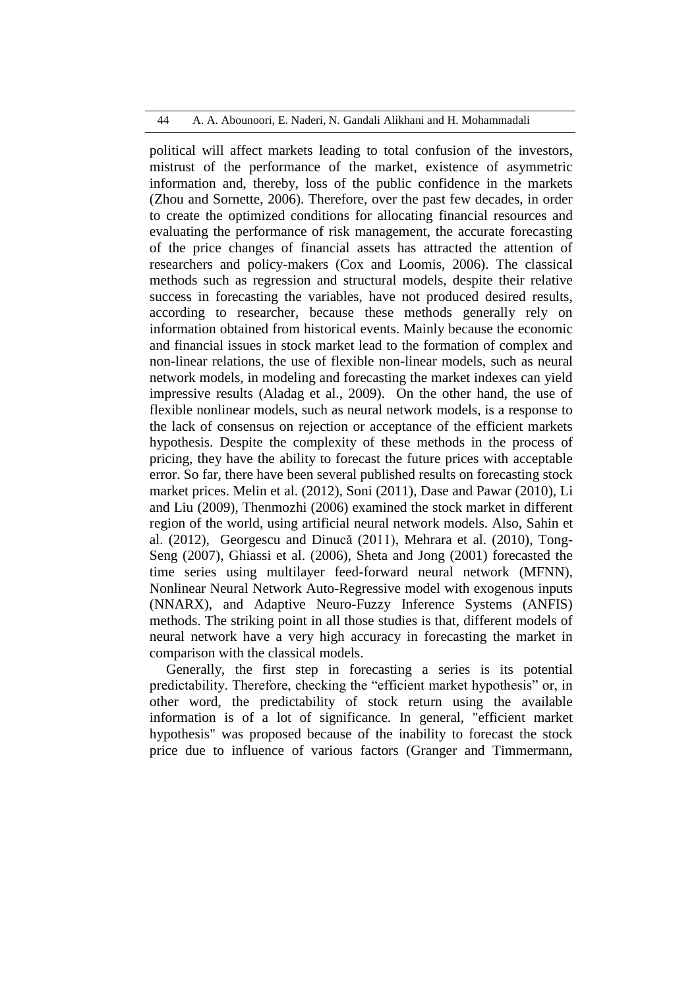### 44 A. A. Abounoori, E. Naderi, N. Gandali Alikhani and H. Mohammadali

political will affect markets leading to total confusion of the investors, mistrust of the performance of the market, existence of asymmetric information and, thereby, loss of the public confidence in the markets (Zhou and Sornette, 2006). Therefore, over the past few decades, in order to create the optimized conditions for allocating financial resources and evaluating the performance of risk management, the accurate forecasting of the price changes of financial assets has attracted the attention of researchers and policy-makers (Cox and Loomis, 2006). The classical methods such as regression and structural models, despite their relative success in forecasting the variables, have not produced desired results, according to researcher, because these methods generally rely on information obtained from historical events. Mainly because the economic and financial issues in stock market lead to the formation of complex and non-linear relations, the use of flexible non-linear models, such as neural network models, in modeling and forecasting the market indexes can yield impressive results (Aladag et al., 2009). On the other hand, the use of flexible nonlinear models, such as neural network models, is a response to the lack of consensus on rejection or acceptance of the efficient markets hypothesis. Despite the complexity of these methods in the process of pricing, they have the ability to forecast the future prices with acceptable error. So far, there have been several published results on forecasting stock market prices. Melin et al. (2012), Soni (2011), Dase and Pawar (2010), Li and Liu (2009), Thenmozhi (2006) examined the stock market in different region of the world, using artificial neural network models. Also, Sahin et al. (2012), Georgescu and Dinucă (2011), Mehrara et al. (2010), Tong-Seng (2007), Ghiassi et al. (2006), Sheta and Jong (2001) forecasted the time series using multilayer feed-forward neural network (MFNN), Nonlinear Neural Network Auto-Regressive model with exogenous inputs (NNARX), and Adaptive Neuro-Fuzzy Inference Systems (ANFIS) methods. The striking point in all those studies is that, different models of neural network have a very high accuracy in forecasting the market in comparison with the classical models.

Generally, the first step in forecasting a series is its potential predictability. Therefore, checking the "efficient market hypothesis" or, in other word, the predictability of stock return using the available information is of a lot of significance. In general, "efficient market hypothesis" was proposed because of the inability to forecast the stock price due to influence of various factors (Granger and Timmermann,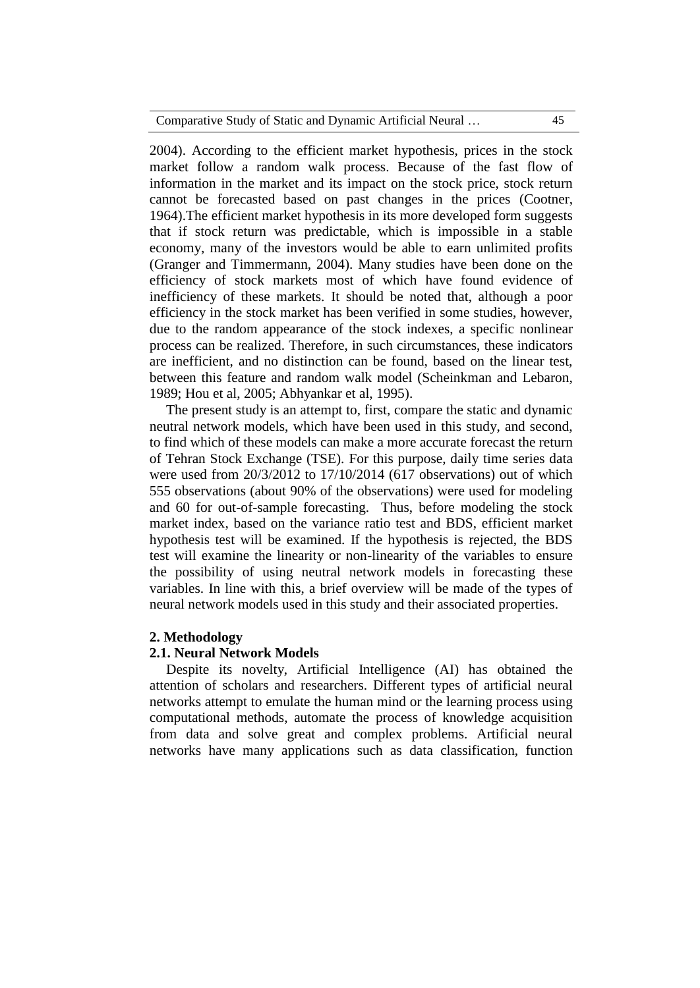2004). According to the efficient market hypothesis, prices in the stock market follow a random walk process. Because of the fast flow of information in the market and its impact on the stock price, stock return cannot be forecasted based on past changes in the prices (Cootner, 1964).The efficient market hypothesis in its more developed form suggests that if stock return was predictable, which is impossible in a stable economy, many of the investors would be able to earn unlimited profits (Granger and Timmermann, 2004). Many studies have been done on the efficiency of stock markets most of which have found evidence of inefficiency of these markets. It should be noted that, although a poor efficiency in the stock market has been verified in some studies, however, due to the random appearance of the stock indexes, a specific nonlinear process can be realized. Therefore, in such circumstances, these indicators are inefficient, and no distinction can be found, based on the linear test, between this feature and random walk model (Scheinkman and Lebaron, 1989; Hou et al, 2005; Abhyankar et al, 1995).

The present study is an attempt to, first, compare the static and dynamic neutral network models, which have been used in this study, and second, to find which of these models can make a more accurate forecast the return of Tehran Stock Exchange (TSE). For this purpose, daily time series data were used from 20/3/2012 to 17/10/2014 (617 observations) out of which 555 observations (about 90% of the observations) were used for modeling and 60 for out-of-sample forecasting. Thus, before modeling the stock market index, based on the variance ratio test and BDS, efficient market hypothesis test will be examined. If the hypothesis is rejected, the BDS test will examine the linearity or non-linearity of the variables to ensure the possibility of using neutral network models in forecasting these variables. In line with this, a brief overview will be made of the types of neural network models used in this study and their associated properties.

### **2. Methodology**

#### **2.1. Neural Network Models**

Despite its novelty, Artificial Intelligence (AI) has obtained the attention of scholars and researchers. Different types of artificial neural networks attempt to emulate the human mind or the learning process using computational methods, automate the process of knowledge acquisition from data and solve great and complex problems. Artificial neural networks have many applications such as data classification, function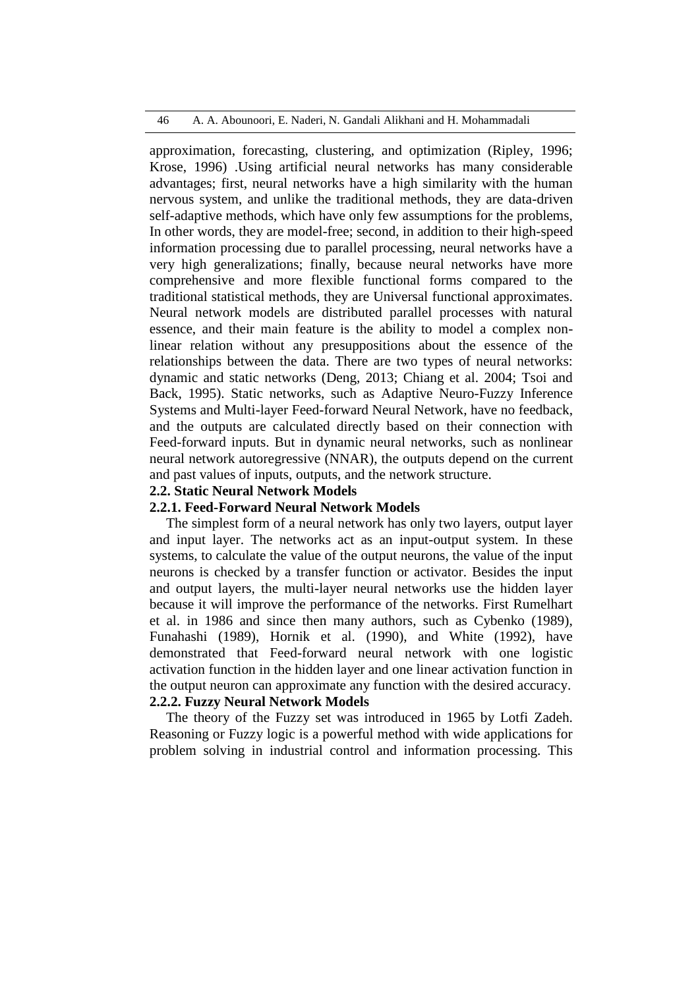approximation, forecasting, clustering, and optimization (Ripley, 1996; Krose, 1996) .Using artificial neural networks has many considerable advantages; first, neural networks have a high similarity with the human nervous system, and unlike the traditional methods, they are data-driven self-adaptive methods, which have only few assumptions for the problems, In other words, they are model-free; second, in addition to their high-speed information processing due to parallel processing, neural networks have a very high generalizations; finally, because neural networks have more comprehensive and more flexible functional forms compared to the traditional statistical methods, they are Universal functional approximates. Neural network models are distributed parallel processes with natural essence, and their main feature is the ability to model a complex nonlinear relation without any presuppositions about the essence of the relationships between the data. There are two types of neural networks: dynamic and static networks (Deng, 2013; Chiang et al. 2004; Tsoi and Back, 1995). Static networks, such as Adaptive Neuro-Fuzzy Inference Systems and Multi-layer Feed-forward Neural Network, have no feedback, and the outputs are calculated directly based on their connection with Feed-forward inputs. But in dynamic neural networks, such as nonlinear neural network autoregressive (NNAR), the outputs depend on the current and past values of inputs, outputs, and the network structure.

### **2.2. Static Neural Network Models**

## **2.2.1. Feed-Forward Neural Network Models**

The simplest form of a neural network has only two layers, output layer and input layer. The networks act as an input-output system. In these systems, to calculate the value of the output neurons, the value of the input neurons is checked by a transfer function or activator. Besides the input and output layers, the multi-layer neural networks use the hidden layer because it will improve the performance of the networks. First Rumelhart et al. in 1986 and since then many authors, such as Cybenko (1989), Funahashi (1989), Hornik et al. (1990), and White (1992), have demonstrated that Feed-forward neural network with one logistic activation function in the hidden layer and one linear activation function in the output neuron can approximate any function with the desired accuracy. **2.2.2. Fuzzy Neural Network Models**

The theory of the Fuzzy set was introduced in 1965 by Lotfi Zadeh. Reasoning or Fuzzy logic is a powerful method with wide applications for problem solving in industrial control and information processing. This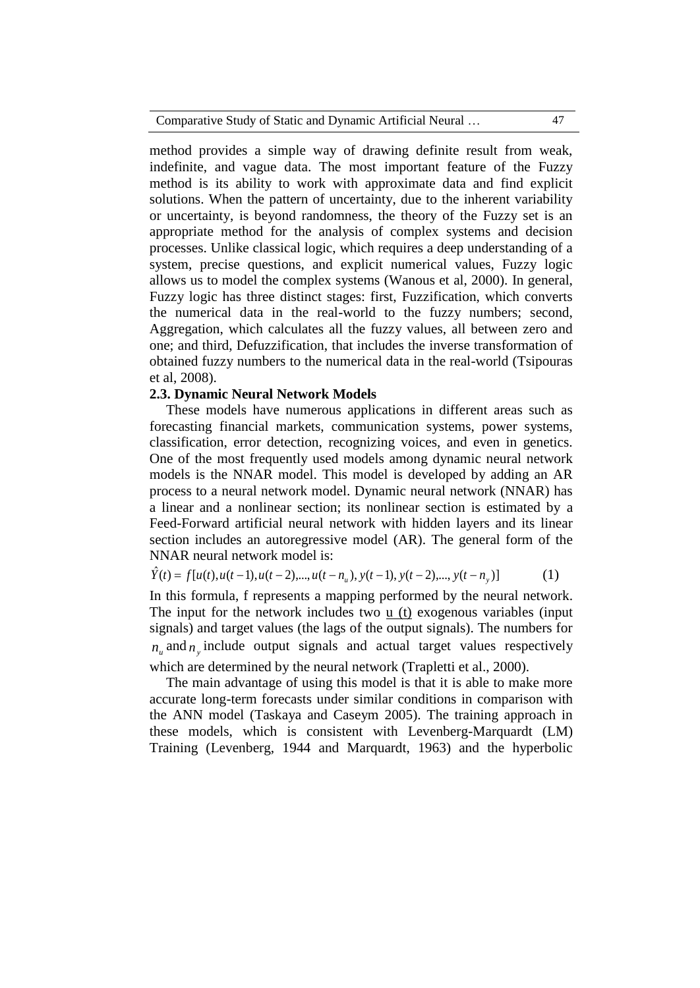method provides a simple way of drawing definite result from weak, indefinite, and vague data. The most important feature of the Fuzzy method is its ability to work with approximate data and find explicit solutions. When the pattern of uncertainty, due to the inherent variability or uncertainty, is beyond randomness, the theory of the Fuzzy set is an appropriate method for the analysis of complex systems and decision processes. Unlike classical logic, which requires a deep understanding of a system, precise questions, and explicit numerical values, Fuzzy logic allows us to model the complex systems (Wanous et al, 2000). In general, Fuzzy logic has three distinct stages: first, Fuzzification, which converts the numerical data in the real-world to the fuzzy numbers; second, Aggregation, which calculates all the fuzzy values, all between zero and one; and third, Defuzzification, that includes the inverse transformation of obtained fuzzy numbers to the numerical data in the real-world [\(Tsipouras](http://www.researchgate.net/researcher/34877328_MG_Tsipouras/) et al, 2008).

### **2.3. Dynamic Neural Network Models**

These models have numerous applications in different areas such as forecasting financial markets, communication systems, power systems, classification, error detection, recognizing voices, and even in genetics. One of the most frequently used models among dynamic neural network models is the NNAR model. This model is developed by adding an AR process to a neural network model. Dynamic neural network (NNAR) has a linear and a nonlinear section; its nonlinear section is estimated by a Feed-Forward artificial neural network with hidden layers and its linear section includes an autoregressive model (AR). The general form of the NNAR neural network model is:

$$
\hat{Y}(t) = f[u(t), u(t-1), u(t-2), ..., u(t-n_u), y(t-1), y(t-2), ..., y(t-n_y)]
$$
\n(1)

In this formula, f represents a mapping performed by the neural network. The input for the network includes two u (t) exogenous variables (input signals) and target values (the lags of the output signals). The numbers for  $n_{u}$  and  $n_{y}$  include output signals and actual target values respectively which are determined by the neural network (Trapletti et al., 2000).

The main advantage of using this model is that it is able to make more accurate long-term forecasts under similar conditions in comparison with the ANN model (Taskaya and Caseym 2005). The training approach in these models, which is consistent with Levenberg-Marquardt (LM) Training (Levenberg, 1944 and Marquardt, 1963) and the hyperbolic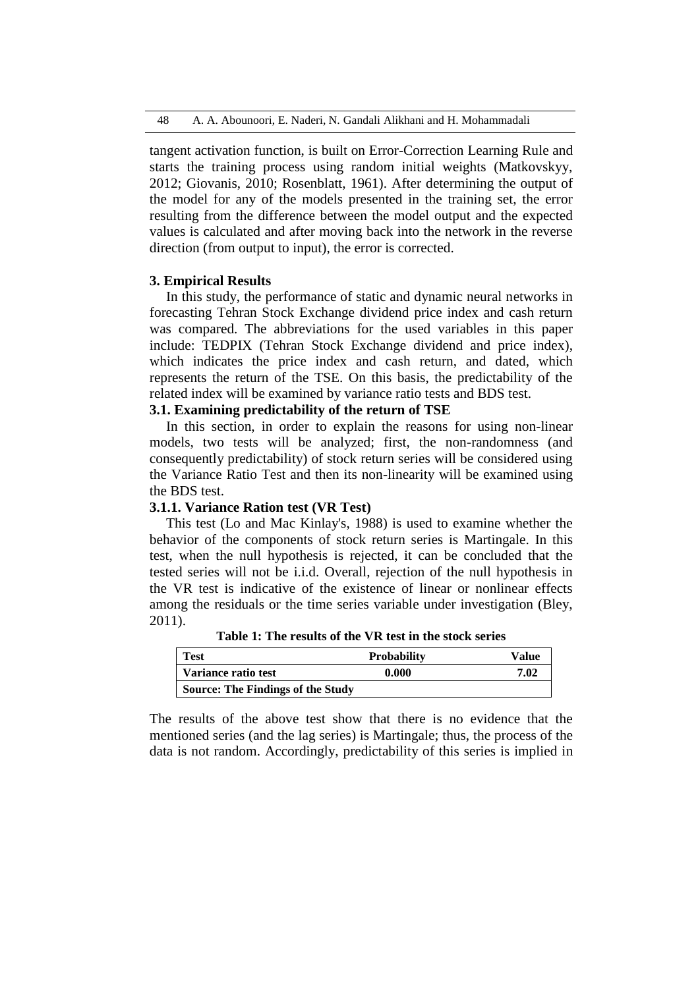tangent activation function, is built on Error-Correction Learning Rule and starts the training process using random initial weights (Matkovskyy, 2012; Giovanis, 2010; Rosenblatt, 1961). After determining the output of the model for any of the models presented in the training set, the error resulting from the difference between the model output and the expected values is calculated and after moving back into the network in the reverse direction (from output to input), the error is corrected.

### **3. Empirical Results**

In this study, the performance of static and dynamic neural networks in forecasting Tehran Stock Exchange dividend price index and cash return was compared. The abbreviations for the used variables in this paper include: TEDPIX (Tehran Stock Exchange dividend and price index), which indicates the price index and cash return, and dated, which represents the return of the TSE. On this basis, the predictability of the related index will be examined by variance ratio tests and BDS test.

# **3.1. Examining predictability of the return of TSE**

In this section, in order to explain the reasons for using non-linear models, two tests will be analyzed; first, the non-randomness (and consequently predictability) of stock return series will be considered using the Variance Ratio Test and then its non-linearity will be examined using the BDS test.

### **3.1.1. Variance Ration test (VR Test)**

This test (Lo and Mac Kinlay's, 1988) is used to examine whether the behavior of the components of stock return series is Martingale. In this test, when the null hypothesis is rejected, it can be concluded that the tested series will not be i.i.d. Overall, rejection of the null hypothesis in the VR test is indicative of the existence of linear or nonlinear effects among the residuals or the time series variable under investigation (Bley, 2011).

| <b>Test</b>                       | <b>Probability</b> | Value |
|-----------------------------------|--------------------|-------|
| Variance ratio test               | 0.000              | 7.02  |
| Source: The Findings of the Study |                    |       |

**Table 1: The results of the VR test in the stock series**

The results of the above test show that there is no evidence that the mentioned series (and the lag series) is Martingale; thus, the process of the data is not random. Accordingly, predictability of this series is implied in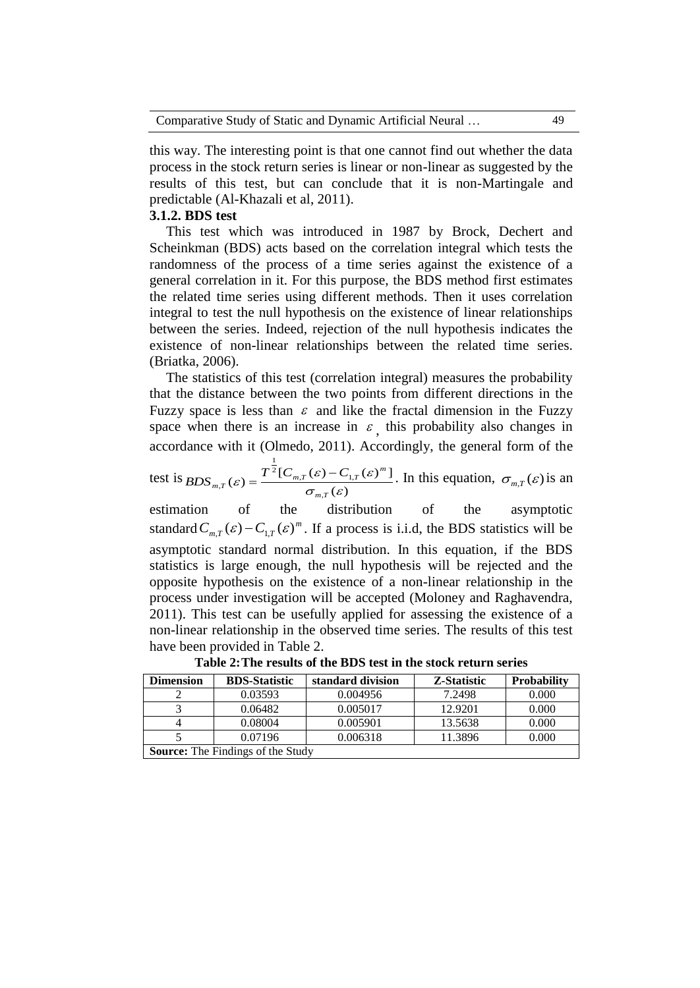|  |  | Comparative Study of Static and Dynamic Artificial Neural |  |
|--|--|-----------------------------------------------------------|--|
|--|--|-----------------------------------------------------------|--|

this way. The interesting point is that one cannot find out whether the data process in the stock return series is linear or non-linear as suggested by the results of this test, but can conclude that it is non-Martingale and predictable (Al-Khazali et al, 2011).

### **3.1.2. BDS test**

This test which was introduced in 1987 by Brock, Dechert and Scheinkman (BDS) acts based on the correlation integral which tests the randomness of the process of a time series against the existence of a general correlation in it. For this purpose, the BDS method first estimates the related time series using different methods. Then it uses correlation integral to test the null hypothesis on the existence of linear relationships between the series. Indeed, rejection of the null hypothesis indicates the existence of non-linear relationships between the related time series. (Briatka, 2006).

The statistics of this test (correlation integral) measures the probability that the distance between the two points from different directions in the Fuzzy space is less than  $\varepsilon$  and like the fractal dimension in the Fuzzy space when there is an increase in  $\varepsilon$ , this probability also changes in accordance with it (Olmedo, 2011). Accordingly, the general form of the

test is  $(\varepsilon)$  $\mathcal{L}(\varepsilon) = \frac{T^2 [C_{m,T}(\varepsilon) - C_{1,T}(\varepsilon)^m]}{T^2}$ , <sup>2</sup>[ $C_{m,T}(\varepsilon)$  –  $C_{1}$ 1  $\sigma_{\pi\pi}(\varepsilon)$  -  $\sigma_{\pi\pi}(\varepsilon)$  $\mathcal{E}$ ) =  $\frac{I^2[\mathcal{C}_{m,T}(\mathcal{E})-\mathcal{C}_{1,T}(\mathcal{E})]}{I}$  $m, T$  $T_{m,T}(\varepsilon) = \frac{T^{\frac{1}{2}}[C_{m,T}(\varepsilon) - C_{1,T}(\varepsilon)]^m}{T_{m,T}(\varepsilon)}$  $BDS_{m,T}(\varepsilon) = \frac{T^{\frac{1}{2}}[C_{m,T}(\varepsilon)-C_{1,T}(\varepsilon)^{m}]}{(m-T)^{m}}$ . In this equation,  $\sigma_{m,T}(\varepsilon)$  is an

estimation of the distribution of the asymptotic standard  $C_{m,T}(\varepsilon) - C_{1,T}(\varepsilon)^m$ . If a process is i.i.d, the BDS statistics will be asymptotic standard normal distribution. In this equation, if the BDS statistics is large enough, the null hypothesis will be rejected and the opposite hypothesis on the existence of a non-linear relationship in the process under investigation will be accepted (Moloney and Raghavendra, 2011). This test can be usefully applied for assessing the existence of a non-linear relationship in the observed time series. The results of this test have been provided in Table 2.

| <b>Dimension</b>                         | <b>BDS-Statistic</b> | standard division | Z-Statistic | <b>Probability</b> |
|------------------------------------------|----------------------|-------------------|-------------|--------------------|
|                                          | 0.03593              | 0.004956          | 7.2498      | 0.000              |
|                                          | 0.06482              | 0.005017          | 12.9201     | 0.000              |
|                                          | 0.08004              | 0.005901          | 13.5638     | 0.000              |
|                                          | 0.07196              | 0.006318          | 11.3896     | 0.000              |
| <b>Source:</b> The Findings of the Study |                      |                   |             |                    |

**Table 2:The results of the BDS test in the stock return series**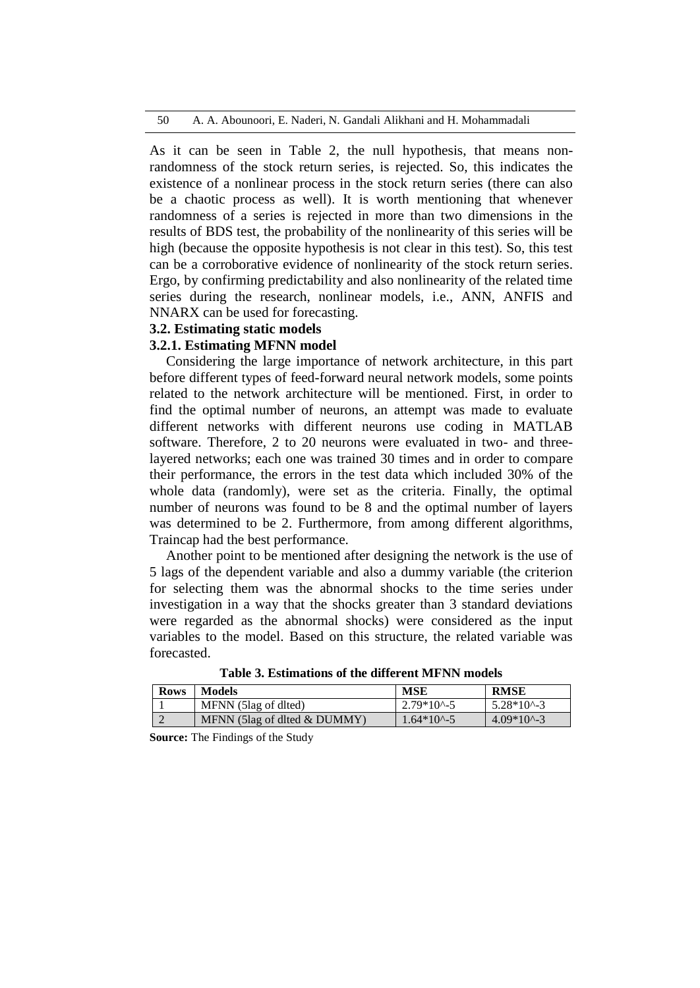50 A. A. Abounoori, E. Naderi, N. Gandali Alikhani and H. Mohammadali

As it can be seen in Table 2, the null hypothesis, that means nonrandomness of the stock return series, is rejected. So, this indicates the existence of a nonlinear process in the stock return series (there can also be a chaotic process as well). It is worth mentioning that whenever randomness of a series is rejected in more than two dimensions in the results of BDS test, the probability of the nonlinearity of this series will be high (because the opposite hypothesis is not clear in this test). So, this test can be a corroborative evidence of nonlinearity of the stock return series. Ergo, by confirming predictability and also nonlinearity of the related time series during the research, nonlinear models, i.e., ANN, ANFIS and NNARX can be used for forecasting.

### **3.2. Estimating static models**

### **3.2.1. Estimating MFNN model**

Considering the large importance of network architecture, in this part before different types of feed-forward neural network models, some points related to the network architecture will be mentioned. First, in order to find the optimal number of neurons, an attempt was made to evaluate different networks with different neurons use coding in MATLAB software. Therefore, 2 to 20 neurons were evaluated in two- and threelayered networks; each one was trained 30 times and in order to compare their performance, the errors in the test data which included 30% of the whole data (randomly), were set as the criteria. Finally, the optimal number of neurons was found to be 8 and the optimal number of layers was determined to be 2. Furthermore, from among different algorithms, Traincap had the best performance.

Another point to be mentioned after designing the network is the use of 5 lags of the dependent variable and also a dummy variable (the criterion for selecting them was the abnormal shocks to the time series under investigation in a way that the shocks greater than 3 standard deviations were regarded as the abnormal shocks) were considered as the input variables to the model. Based on this structure, the related variable was forecasted.

| <b>Rows</b> | Models                       | <b>MSE</b>        | <b>RMSE</b>     |
|-------------|------------------------------|-------------------|-----------------|
|             | MFNN (5lag of dited)         | $2.79*10^{4} - 5$ | $5.28*10^{(-)}$ |
|             | MFNN (5lag of dited & DUMMY) | $1.64*10^{(-)}$   | $4.09*10^{3}$   |

**Source:** The Findings of the Study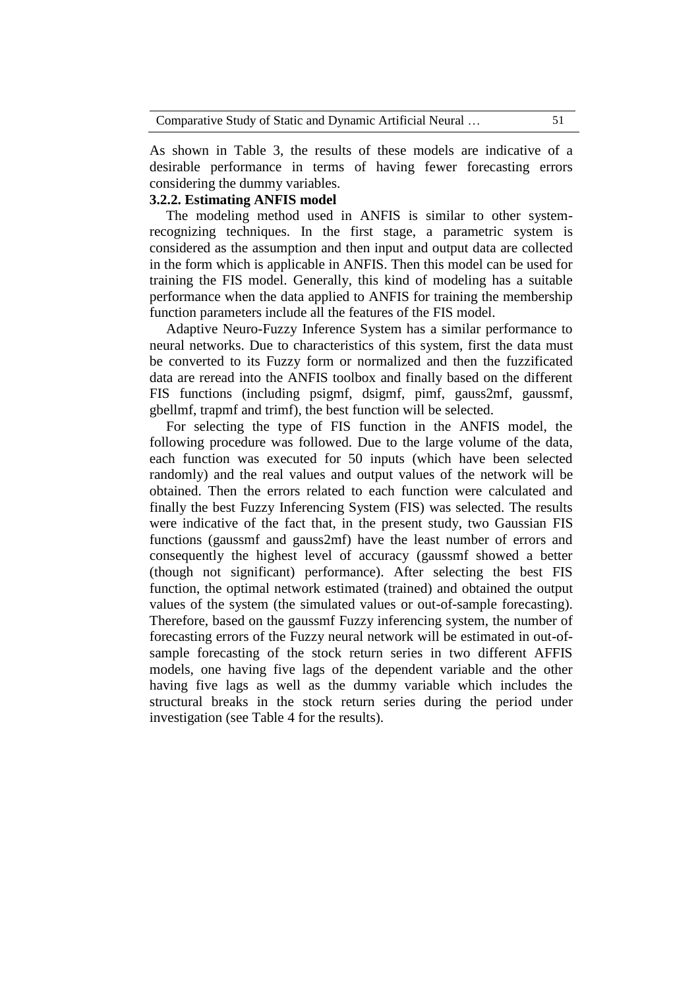As shown in Table 3, the results of these models are indicative of a desirable performance in terms of having fewer forecasting errors considering the dummy variables.

# **3.2.2. Estimating ANFIS model**

The modeling method used in ANFIS is similar to other systemrecognizing techniques. In the first stage, a parametric system is considered as the assumption and then input and output data are collected in the form which is applicable in ANFIS. Then this model can be used for training the FIS model. Generally, this kind of modeling has a suitable performance when the data applied to ANFIS for training the membership function parameters include all the features of the FIS model.

Adaptive Neuro-Fuzzy Inference System has a similar performance to neural networks. Due to characteristics of this system, first the data must be converted to its Fuzzy form or normalized and then the fuzzificated data are reread into the ANFIS toolbox and finally based on the different FIS functions (including psigmf, dsigmf, pimf, gauss2mf, gaussmf, gbellmf, trapmf and trimf), the best function will be selected.

For selecting the type of FIS function in the ANFIS model, the following procedure was followed. Due to the large volume of the data, each function was executed for 50 inputs (which have been selected randomly) and the real values and output values of the network will be obtained. Then the errors related to each function were calculated and finally the best Fuzzy Inferencing System (FIS) was selected. The results were indicative of the fact that, in the present study, two Gaussian FIS functions (gaussmf and gauss2mf) have the least number of errors and consequently the highest level of accuracy (gaussmf showed a better (though not significant) performance). After selecting the best FIS function, the optimal network estimated (trained) and obtained the output values of the system (the simulated values or out-of-sample forecasting). Therefore, based on the gaussmf Fuzzy inferencing system, the number of forecasting errors of the Fuzzy neural network will be estimated in out-ofsample forecasting of the stock return series in two different AFFIS models, one having five lags of the dependent variable and the other having five lags as well as the dummy variable which includes the structural breaks in the stock return series during the period under investigation (see Table 4 for the results).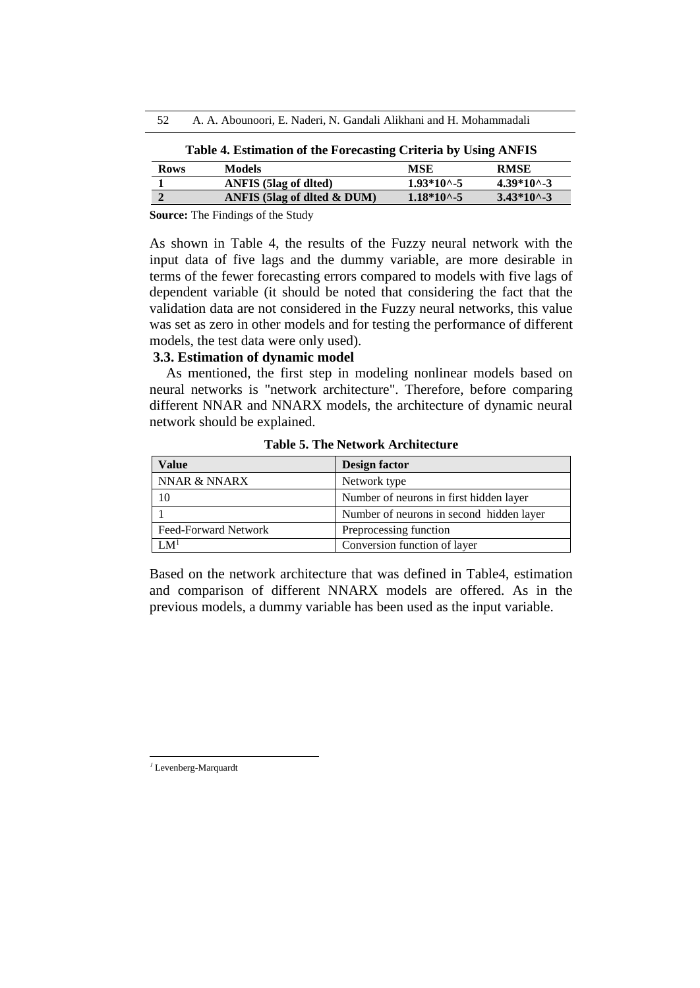| 52 | A. A. Abounoori, E. Naderi, N. Gandali Alikhani and H. Mohammadali |  |
|----|--------------------------------------------------------------------|--|
|----|--------------------------------------------------------------------|--|

| Table 4. Estimation of the Forecasting Criteria by Using ANFIS |  |  |  |
|----------------------------------------------------------------|--|--|--|
|----------------------------------------------------------------|--|--|--|

| <b>Rows</b> | <b>Models</b>                | MSE                   | <b>RMSE</b>           |
|-------------|------------------------------|-----------------------|-----------------------|
|             | <b>ANFIS</b> (5lag of dlted) | $1.93*10^{\circ} - 5$ | $4.39*10^{\circ} - 3$ |
|             | ANFIS (5lag of dited & DUM)  | $1.18*10^{\circ} - 5$ | $3.43*10^{\circ} - 3$ |

**Source:** The Findings of the Study

As shown in Table 4, the results of the Fuzzy neural network with the input data of five lags and the dummy variable, are more desirable in terms of the fewer forecasting errors compared to models with five lags of dependent variable (it should be noted that considering the fact that the validation data are not considered in the Fuzzy neural networks, this value was set as zero in other models and for testing the performance of different models, the test data were only used).

## **3.3. Estimation of dynamic model**

As mentioned, the first step in modeling nonlinear models based on neural networks is "network architecture". Therefore, before comparing different NNAR and NNARX models, the architecture of dynamic neural network should be explained.

| Value                | Design factor                            |  |
|----------------------|------------------------------------------|--|
| NNAR & NNARX         | Network type                             |  |
|                      | Number of neurons in first hidden layer  |  |
|                      | Number of neurons in second hidden layer |  |
| Feed-Forward Network | Preprocessing function                   |  |
| I M $^1$             | Conversion function of layer             |  |

**Table 5. The Network Architecture**

Based on the network architecture that was defined in Table4, estimation and comparison of different NNARX models are offered. As in the previous models, a dummy variable has been used as the input variable.

<sup>1</sup> Levenberg-Marquardt

 $\overline{a}$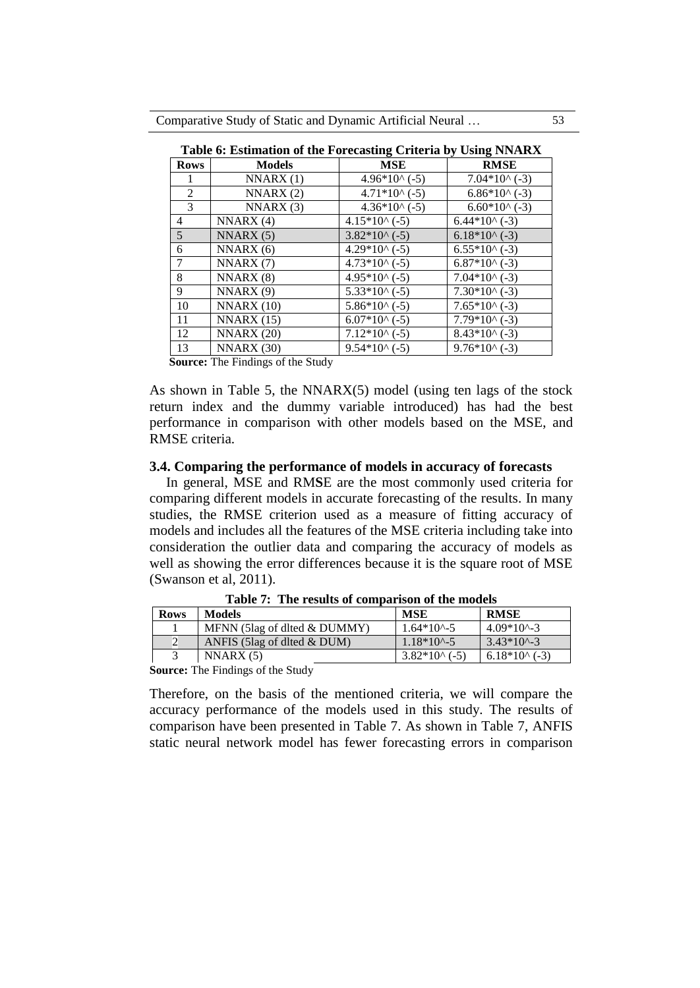|                | Table 6: Estimation of the Forecasting Criteria by Using NNARX |                        |                        |  |
|----------------|----------------------------------------------------------------|------------------------|------------------------|--|
| <b>Rows</b>    | <b>Models</b>                                                  | <b>MSE</b>             | <b>RMSE</b>            |  |
|                | NNARX(1)                                                       | $4.96*10(6-5)$         | $7.04*10(4.3)$         |  |
| 2              | NNARX(2)                                                       | $4.71*10( -5)$         | $6.86*10^{\circ}$ (-3) |  |
| 3              | NNARX(3)                                                       | $4.36*10(6-5)$         | $6.60*10^{\circ}$ (-3) |  |
| 4              | NNARX(4)                                                       | $4.15*10(6-5)$         | $6.44*10(4.3)$         |  |
| $\overline{5}$ | NNARX(5)                                                       | $3.82*10(6-5)$         | $6.18*10(4)$ (-3)      |  |
| 6              | NNARX(6)                                                       | $4.29*10(6-5)$         | $6.55*10^{\circ}$ (-3) |  |
| 7              | NNARX (7)                                                      | $4.73*10(6-5)$         | $6.87*10(4.3)$         |  |
| 8              | NNARX(8)                                                       | $4.95*10(6-5)$         | $7.04*10(4.3)$         |  |
| 9              | NNARX(9)                                                       | $5.33*10^{\circ}$ (-5) | $7.30*10(4.3)$         |  |
| 10             | NNARX(10)                                                      | $5.86*10(6-5)$         | $7.65*10(4.3)$         |  |
| 11             | NNARX(15)                                                      | $6.07*10(6-5)$         | $7.79*10(4.3)$         |  |
| 12             | NNARX (20)                                                     | $7.12*10(6-5)$         | $8.43*10(4.3)$         |  |
| 13             | NNARX (30)                                                     | $9.54*10(6-5)$         | $9.76*10(4.3)$         |  |

**Source:** The Findings of the Study

As shown in Table 5, the NNARX(5) model (using ten lags of the stock return index and the dummy variable introduced) has had the best performance in comparison with other models based on the MSE, and RMSE criteria.

### **3.4. Comparing the performance of models in accuracy of forecasts**

In general, MSE and RM**S**E are the most commonly used criteria for comparing different models in accurate forecasting of the results. In many studies, the RMSE criterion used as a measure of fitting accuracy of models and includes all the features of the MSE criteria including take into consideration the outlier data and comparing the accuracy of models as well as showing the error differences because it is the square root of MSE (Swanson et al, 2011).

| <b>Rows</b> | <b>Models</b>                   | <b>MSE</b>        | <b>RMSE</b>       |
|-------------|---------------------------------|-------------------|-------------------|
|             | MFNN (5lag of dited $\&$ DUMMY) | $1.64*10^{4} - 5$ | $4.09*10^{4} - 3$ |
|             | ANFIS (5lag of dited $\&$ DUM)  | $1.18*10^{6} - 5$ | $3.43*10^{4} - 3$ |
|             | NNARX(5)                        | $3.82*10(6-5)$    | $6.18*100$ (-3)   |

**Table 7: The results of comparison of the models**

**Source:** The Findings of the Study

Therefore, on the basis of the mentioned criteria, we will compare the accuracy performance of the models used in this study. The results of comparison have been presented in Table 7. As shown in Table 7, ANFIS static neural network model has fewer forecasting errors in comparison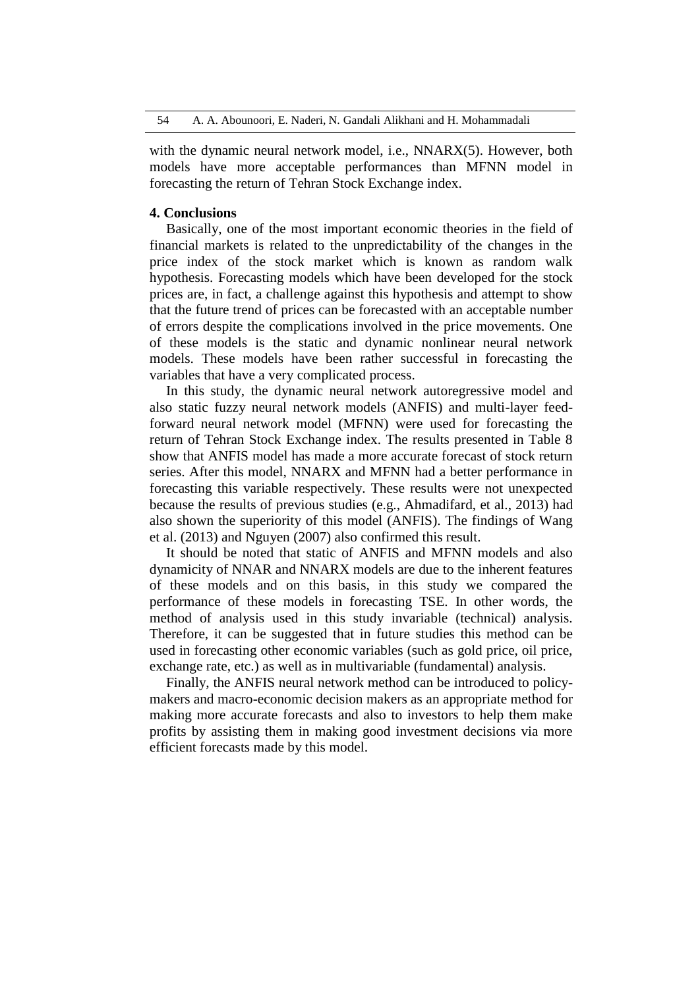54 A. A. Abounoori, E. Naderi, N. Gandali Alikhani and H. Mohammadali

with the dynamic neural network model, i.e., NNARX(5). However, both models have more acceptable performances than MFNN model in forecasting the return of Tehran Stock Exchange index.

### **4. Conclusions**

Basically, one of the most important economic theories in the field of financial markets is related to the unpredictability of the changes in the price index of the stock market which is known as random walk hypothesis. Forecasting models which have been developed for the stock prices are, in fact, a challenge against this hypothesis and attempt to show that the future trend of prices can be forecasted with an acceptable number of errors despite the complications involved in the price movements. One of these models is the static and dynamic nonlinear neural network models. These models have been rather successful in forecasting the variables that have a very complicated process.

In this study, the dynamic neural network autoregressive model and also static fuzzy neural network models (ANFIS) and multi-layer feedforward neural network model (MFNN) were used for forecasting the return of Tehran Stock Exchange index. The results presented in Table 8 show that ANFIS model has made a more accurate forecast of stock return series. After this model, NNARX and MFNN had a better performance in forecasting this variable respectively. These results were not unexpected because the results of previous studies (e.g., Ahmadifard, et al., 2013) had also shown the superiority of this model (ANFIS). The findings of Wang et al. (2013) and Nguyen (2007) also confirmed this result.

It should be noted that static of ANFIS and MFNN models and also dynamicity of NNAR and NNARX models are due to the inherent features of these models and on this basis, in this study we compared the performance of these models in forecasting TSE. In other words, the method of analysis used in this study invariable (technical) analysis. Therefore, it can be suggested that in future studies this method can be used in forecasting other economic variables (such as gold price, oil price, exchange rate, etc.) as well as in multivariable (fundamental) analysis.

Finally, the ANFIS neural network method can be introduced to policymakers and macro-economic decision makers as an appropriate method for making more accurate forecasts and also to investors to help them make profits by assisting them in making good investment decisions via more efficient forecasts made by this model.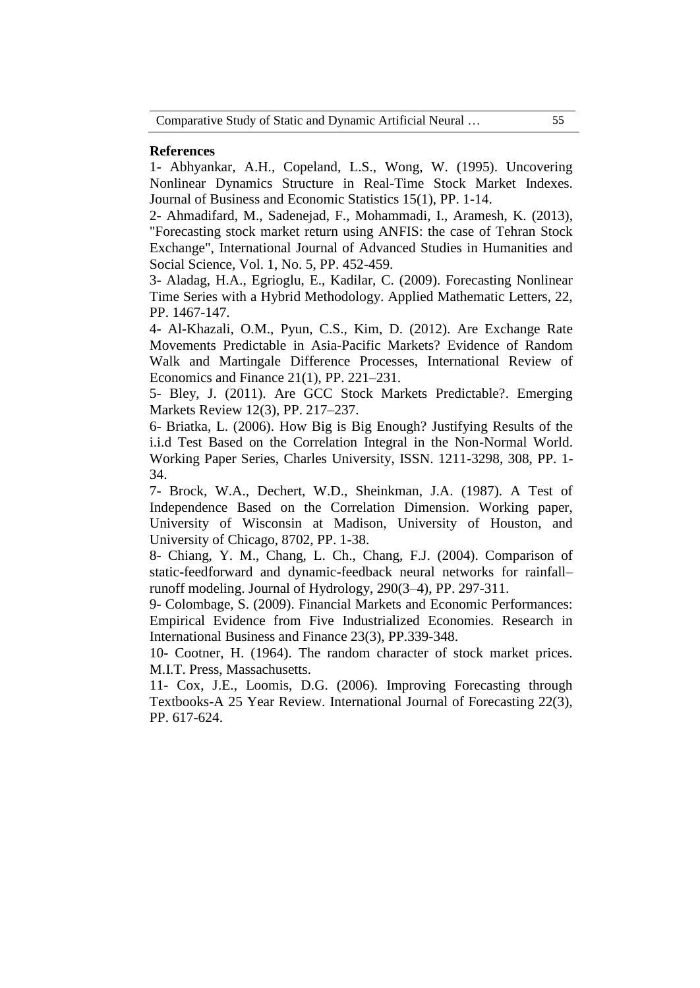### **References**

1- Abhyankar, A.H., Copeland, L.S., Wong, W. (1995). Uncovering Nonlinear Dynamics Structure in Real-Time Stock Market Indexes. Journal of Business and Economic Statistics 15(1), PP. 1-14.

2- Ahmadifard, M., Sadenejad, F., Mohammadi, I., Aramesh, K. (2013), "Forecasting stock market return using ANFIS: the case of Tehran Stock Exchange", International Journal of Advanced Studies in Humanities and Social Science, Vol. 1, No. 5, PP. 452-459.

3- Aladag, H.A., Egrioglu, E., Kadilar, C. (2009). Forecasting Nonlinear Time Series with a Hybrid Methodology. Applied Mathematic Letters, 22, PP. 1467-147.

4- Al-Khazali, O.M., Pyun, C.S., Kim, D. (2012). Are Exchange Rate Movements Predictable in Asia-Pacific Markets? Evidence of Random Walk and Martingale Difference Processes, International Review of Economics and Finance 21(1), PP. 221–231.

5- Bley, J. (2011). Are GCC Stock Markets Predictable?. Emerging Markets Review 12(3), PP. 217–237.

6- Briatka, L. (2006). How Big is Big Enough? Justifying Results of the i.i.d Test Based on the Correlation Integral in the Non-Normal World. Working Paper Series, Charles University, ISSN. 1211-3298, 308, PP. 1- 34.

7- Brock, W.A., Dechert, W.D., Sheinkman, J.A. (1987). A Test of Independence Based on the Correlation Dimension. Working paper, University of Wisconsin at Madison, University of Houston, and University of Chicago, 8702, PP. 1-38.

8- Chiang, Y. M., Chang, L. Ch., Chang, F.J. (2004). Comparison of static-feedforward and dynamic-feedback neural networks for rainfall– runoff modeling. Journal of Hydrology, 290(3–4), PP. 297-311.

9- Colombage, S. (2009). Financial Markets and Economic Performances: Empirical Evidence from Five Industrialized Economies. Research in International Business and Finance 23(3), PP.339-348.

10- Cootner, H. (1964). The random character of stock market prices. M.I.T. Press, Massachusetts.

11- Cox, J.E., Loomis, D.G. (2006). Improving Forecasting through Textbooks-A 25 Year Review. International Journal of Forecasting 22(3), PP. 617-624.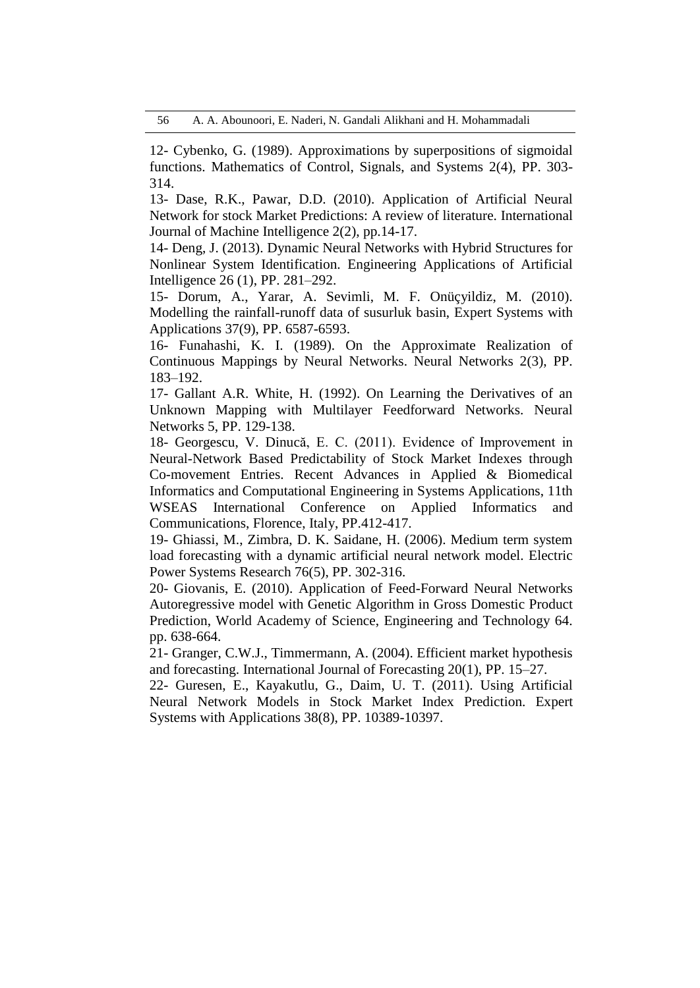12- Cybenko, G. (1989). Approximations by superpositions of sigmoidal functions. Mathematics of Control, Signals, and Systems 2(4), PP. 303- 314.

13- Dase, R.K., Pawar, D.D. (2010). Application of Artificial Neural Network for stock Market Predictions: A review of literature. International Journal of Machine Intelligence 2(2), pp.14-17.

14- Deng, J. (2013). Dynamic Neural Networks with Hybrid Structures for Nonlinear System Identification. Engineering Applications of Artificial Intelligence 26 (1), PP. 281–292.

15- Dorum, A., Yarar, A. Sevimli, M. F. Onüçyildiz, M. (2010). Modelling the rainfall-runoff data of susurluk basin, Expert Systems with Applications 37(9), PP. 6587-6593.

16- Funahashi, K. I. (1989). On the Approximate Realization of Continuous Mappings by Neural Networks. Neural Networks 2(3), PP. 183–192.

17- Gallant A.R. White, H. (1992). On Learning the Derivatives of an Unknown Mapping with Multilayer Feedforward Networks. Neural Networks 5, PP. 129-138.

18- Georgescu, V. Dinucă, E. C. (2011). Evidence of Improvement in Neural-Network Based Predictability of Stock Market Indexes through Co-movement Entries. Recent Advances in Applied & Biomedical Informatics and Computational Engineering in Systems Applications, 11th WSEAS International Conference on Applied Informatics and Communications, Florence, Italy, PP.412-417.

19- Ghiassi, M., Zimbra, D. K. Saidane, H. (2006). Medium term system load forecasting with a dynamic artificial neural network model. Electric Power Systems Research 76(5), PP. 302-316.

20- Giovanis, E. (2010). Application of Feed-Forward Neural Networks Autoregressive model with Genetic Algorithm in Gross Domestic Product Prediction, World Academy of Science, Engineering and Technology 64. pp. 638-664.

21- Granger, C.W.J., Timmermann, A. (2004). Efficient market hypothesis and forecasting. International Journal of Forecasting 20(1), PP. 15–27.

22- Guresen, E., Kayakutlu, G., Daim, U. T. (2011). Using Artificial Neural Network Models in Stock Market Index Prediction. Expert Systems with Applications 38(8), PP. 10389-10397.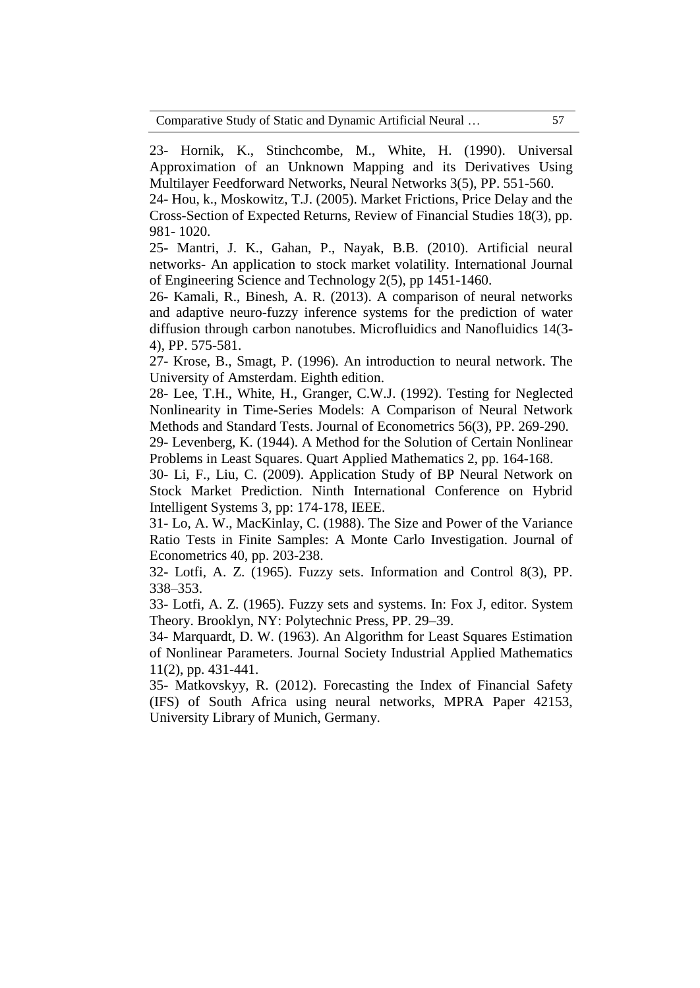23- Hornik, K., Stinchcombe, M., White, H. (1990). Universal Approximation of an Unknown Mapping and its Derivatives Using Multilayer Feedforward Networks, Neural Networks 3(5), PP. 551-560.

24- Hou, k., Moskowitz, T.J. (2005). Market Frictions, Price Delay and the Cross-Section of Expected Returns, Review of Financial Studies 18(3), pp. 981- 1020.

25- Mantri, J. K., Gahan, P., Nayak, B.B. (2010). Artificial neural networks- An application to stock market volatility. International Journal of Engineering Science and Technology 2(5), pp 1451-1460.

26- Kamali, R., Binesh, A. R. (2013). A comparison of neural networks and adaptive neuro-fuzzy inference systems for the prediction of water diffusion through carbon nanotubes. Microfluidics and Nanofluidics 14(3- 4), PP. 575-581.

27- Krose, B., Smagt, P. (1996). An introduction to neural network. The University of Amsterdam. Eighth edition.

28- Lee, T.H., White, H., Granger, C.W.J. (1992). Testing for Neglected Nonlinearity in Time-Series Models: A Comparison of Neural Network Methods and Standard Tests. Journal of Econometrics 56(3), PP. 269-290.

29- Levenberg, K. (1944). A Method for the Solution of Certain Nonlinear Problems in Least Squares. Quart Applied Mathematics 2, pp. 164-168.

30- Li, F., Liu, C. (2009). Application Study of BP Neural Network on Stock Market Prediction. Ninth International Conference on Hybrid Intelligent Systems 3, pp: 174-178, IEEE.

31- Lo, A. W., MacKinlay, C. (1988). The Size and Power of the Variance Ratio Tests in Finite Samples: A Monte Carlo Investigation. Journal of Econometrics 40, pp. 203-238.

32- Lotfi, A. Z. (1965). Fuzzy sets. Information and Control 8(3), PP. 338–353.

33- Lotfi, A. Z. (1965). Fuzzy sets and systems. In: Fox J, editor. System Theory. Brooklyn, NY: Polytechnic Press, PP. 29–39.

34- Marquardt, D. W. (1963). An Algorithm for Least Squares Estimation of Nonlinear Parameters. Journal Society Industrial Applied Mathematics 11(2), pp. 431-441.

35- Matkovskyy, R. (2012). Forecasting the Index of Financial Safety (IFS) of South Africa using neural networks, MPRA Paper 42153, University Library of Munich, Germany.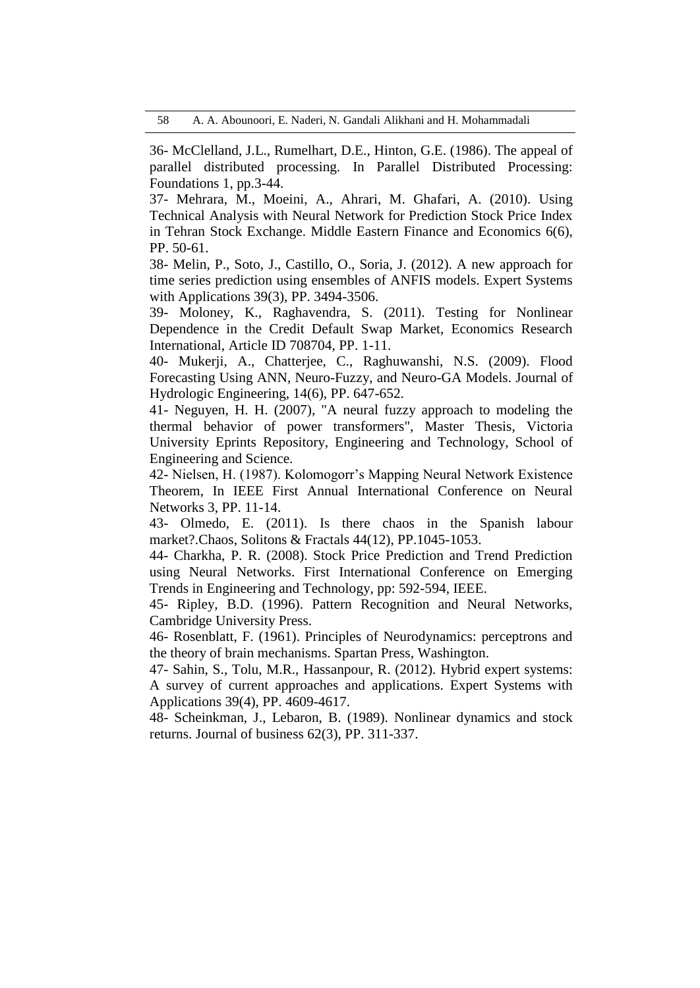36- McClelland, J.L., Rumelhart, D.E., Hinton, G.E. (1986). The appeal of parallel distributed processing. In Parallel Distributed Processing: Foundations 1, pp.3-44.

37- Mehrara, M., Moeini, A., Ahrari, M. Ghafari, A. (2010). Using Technical Analysis with Neural Network for Prediction Stock Price Index in Tehran Stock Exchange. Middle Eastern Finance and Economics 6(6), PP. 50-61.

38- Melin, P., Soto, J., Castillo, O., Soria, J. (2012). A new approach for time series prediction using ensembles of ANFIS models. Expert Systems with Applications 39(3), PP. 3494-3506.

39- Moloney, K., Raghavendra, S. (2011). Testing for Nonlinear Dependence in the Credit Default Swap Market, Economics Research International, Article ID 708704, PP. 1-11.

40- Mukerji, A., Chatterjee, C., Raghuwanshi, N.S. (2009). Flood Forecasting Using ANN, Neuro-Fuzzy, and Neuro-GA Models. Journal of Hydrologic Engineering, 14(6), PP. 647-652.

41- Neguyen, H. H. (2007), "A neural fuzzy approach to modeling the thermal behavior of power transformers", Master Thesis, Victoria University Eprints Repository, Engineering and Technology, School of Engineering and Science.

42- Nielsen, H. (1987). Kolomogorr's Mapping Neural Network Existence Theorem, In IEEE First Annual International Conference on Neural Networks 3, PP. 11-14.

43- Olmedo, E. (2011). Is there chaos in the Spanish labour market?.Chaos, Solitons & Fractals 44(12), PP.1045-1053.

44- Charkha, P. R. (2008). Stock Price Prediction and Trend Prediction using Neural Networks. First International Conference on Emerging Trends in Engineering and Technology, pp: 592-594, IEEE.

45- Ripley, B.D. (1996). Pattern Recognition and Neural Networks, Cambridge University Press.

46- Rosenblatt, F. (1961). Principles of Neurodynamics: perceptrons and the theory of brain mechanisms. Spartan Press, Washington.

47- Sahin, S., Tolu, M.R., Hassanpour, R. (2012). Hybrid expert systems: A survey of current approaches and applications. Expert Systems with Applications 39(4), PP. 4609-4617.

48- Scheinkman, J., Lebaron, B. (1989). Nonlinear dynamics and stock returns. Journal of business 62(3), PP. 311-337.